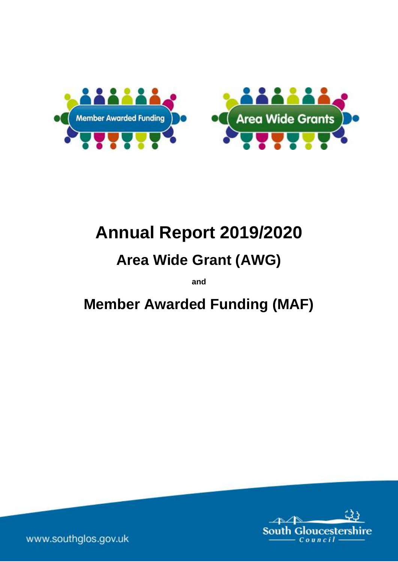



# **Annual Report 2019/2020**

# **Area Wide Grant (AWG)**

**and**

**Member Awarded Funding (MAF)**



www.southglos.gov.uk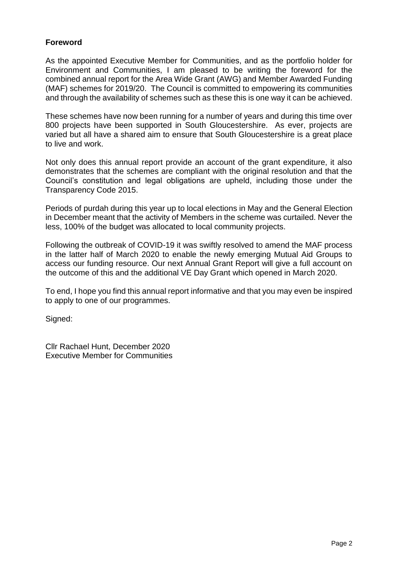# **Foreword**

As the appointed Executive Member for Communities, and as the portfolio holder for Environment and Communities, I am pleased to be writing the foreword for the combined annual report for the Area Wide Grant (AWG) and Member Awarded Funding (MAF) schemes for 2019/20. The Council is committed to empowering its communities and through the availability of schemes such as these this is one way it can be achieved.

These schemes have now been running for a number of years and during this time over 800 projects have been supported in South Gloucestershire. As ever, projects are varied but all have a shared aim to ensure that South Gloucestershire is a great place to live and work.

Not only does this annual report provide an account of the grant expenditure, it also demonstrates that the schemes are compliant with the original resolution and that the Council's constitution and legal obligations are upheld, including those under the Transparency Code 2015.

Periods of purdah during this year up to local elections in May and the General Election in December meant that the activity of Members in the scheme was curtailed. Never the less, 100% of the budget was allocated to local community projects.

Following the outbreak of COVID-19 it was swiftly resolved to amend the MAF process in the latter half of March 2020 to enable the newly emerging Mutual Aid Groups to access our funding resource. Our next Annual Grant Report will give a full account on the outcome of this and the additional VE Day Grant which opened in March 2020.

To end, I hope you find this annual report informative and that you may even be inspired to apply to one of our programmes.

Signed:

Cllr Rachael Hunt, December 2020 Executive Member for Communities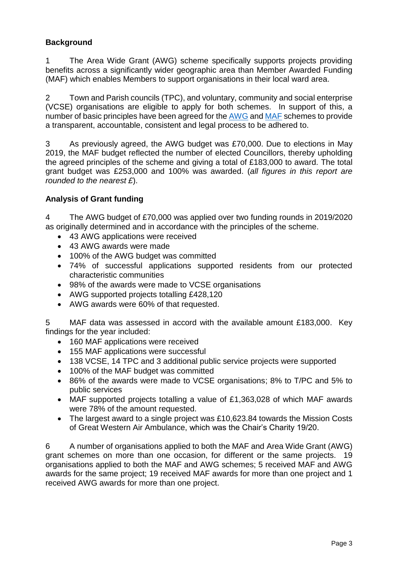# **Background**

1 The Area Wide Grant (AWG) scheme specifically supports projects providing benefits across a significantly wider geographic area than Member Awarded Funding (MAF) which enables Members to support organisations in their local ward area.

2 Town and Parish councils (TPC), and voluntary, community and social enterprise (VCSE) organisations are eligible to apply for both schemes. In support of this, a number of basic principles have been agreed for the [AWG](https://www.southglos.gov.uk/documents/Principles-for-AWG-1.pdf) and [MAF](https://www.southglos.gov.uk/documents/Principles-and-Processes-MAF.pdf) schemes to provide a transparent, accountable, consistent and legal process to be adhered to.

3 As previously agreed, the AWG budget was £70,000. Due to elections in May 2019, the MAF budget reflected the number of elected Councillors, thereby upholding the agreed principles of the scheme and giving a total of £183,000 to award. The total grant budget was £253,000 and 100% was awarded. (*all figures in this report are rounded to the nearest £*).

# **Analysis of Grant funding**

4 The AWG budget of £70,000 was applied over two funding rounds in 2019/2020 as originally determined and in accordance with the principles of the scheme.

- 43 AWG applications were received
- 43 AWG awards were made
- 100% of the AWG budget was committed
- 74% of successful applications supported residents from our protected characteristic communities
- 98% of the awards were made to VCSE organisations
- AWG supported projects totalling £428,120
- AWG awards were 60% of that requested.

5 MAF data was assessed in accord with the available amount £183,000. Key findings for the year included:

- 160 MAF applications were received
- 155 MAF applications were successful
- 138 VCSE, 14 TPC and 3 additional public service projects were supported
- 100% of the MAF budget was committed
- 86% of the awards were made to VCSE organisations; 8% to T/PC and 5% to public services
- MAF supported projects totalling a value of £1,363,028 of which MAF awards were 78% of the amount requested.
- The largest award to a single project was £10,623.84 towards the Mission Costs of Great Western Air Ambulance, which was the Chair's Charity 19/20.

6 A number of organisations applied to both the MAF and Area Wide Grant (AWG) grant schemes on more than one occasion, for different or the same projects. 19 organisations applied to both the MAF and AWG schemes; 5 received MAF and AWG awards for the same project; 19 received MAF awards for more than one project and 1 received AWG awards for more than one project.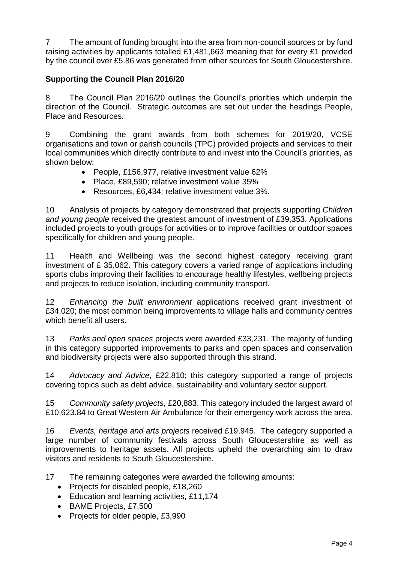7 The amount of funding brought into the area from non-council sources or by fund raising activities by applicants totalled £1,481,663 meaning that for every £1 provided by the council over £5.86 was generated from other sources for South Gloucestershire.

# **Supporting the Council Plan 2016/20**

8 The Council Plan 2016/20 outlines the Council's priorities which underpin the direction of the Council. Strategic outcomes are set out under the headings People, Place and Resources.

9 Combining the grant awards from both schemes for 2019/20, VCSE organisations and town or parish councils (TPC) provided projects and services to their local communities which directly contribute to and invest into the Council's priorities, as shown below:

- People, £156,977, relative investment value 62%
- Place, £89,590; relative investment value 35%
- Resources, £6,434; relative investment value 3%.

10 Analysis of projects by category demonstrated that projects supporting *Children and young people* received the greatest amount of investment of £39,353. Applications included projects to youth groups for activities or to improve facilities or outdoor spaces specifically for children and young people.

11 Health and Wellbeing was the second highest category receiving grant investment of £ 35,062. This category covers a varied range of applications including sports clubs improving their facilities to encourage healthy lifestyles, wellbeing projects and projects to reduce isolation, including community transport.

12 *Enhancing the built environment* applications received grant investment of £34,020; the most common being improvements to village halls and community centres which benefit all users.

13 *Parks and open spaces* projects were awarded £33,231. The majority of funding in this category supported improvements to parks and open spaces and conservation and biodiversity projects were also supported through this strand.

14 *Advocacy and Advice*, £22,810; this category supported a range of projects covering topics such as debt advice, sustainability and voluntary sector support.

15 *Community safety projects*, £20,883. This category included the largest award of £10,623.84 to Great Western Air Ambulance for their emergency work across the area.

16 *Events, heritage and arts projects* received £19,945. The category supported a large number of community festivals across South Gloucestershire as well as improvements to heritage assets. All projects upheld the overarching aim to draw visitors and residents to South Gloucestershire.

17 The remaining categories were awarded the following amounts:

- Projects for disabled people, £18,260
- Education and learning activities, £11,174
- BAME Projects, £7,500
- Projects for older people, £3,990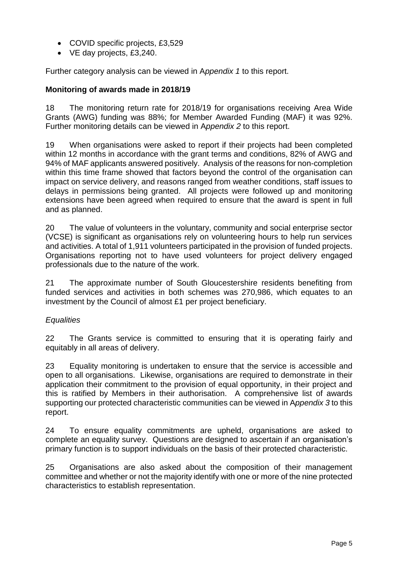- COVID specific projects, £3,529
- VE day projects, £3,240.

Further category analysis can be viewed in A*ppendix 1* to this report.

# **Monitoring of awards made in 2018/19**

18 The monitoring return rate for 2018/19 for organisations receiving Area Wide Grants (AWG) funding was 88%; for Member Awarded Funding (MAF) it was 92%. Further monitoring details can be viewed in A*ppendix 2* to this report.

19 When organisations were asked to report if their projects had been completed within 12 months in accordance with the grant terms and conditions, 82% of AWG and 94% of MAF applicants answered positively. Analysis of the reasons for non-completion within this time frame showed that factors beyond the control of the organisation can impact on service delivery, and reasons ranged from weather conditions, staff issues to delays in permissions being granted. All projects were followed up and monitoring extensions have been agreed when required to ensure that the award is spent in full and as planned.

20 The value of volunteers in the voluntary, community and social enterprise sector (VCSE) is significant as organisations rely on volunteering hours to help run services and activities. A total of 1,911 volunteers participated in the provision of funded projects. Organisations reporting not to have used volunteers for project delivery engaged professionals due to the nature of the work.

21 The approximate number of South Gloucestershire residents benefiting from funded services and activities in both schemes was 270,986, which equates to an investment by the Council of almost £1 per project beneficiary.

# *Equalities*

22 The Grants service is committed to ensuring that it is operating fairly and equitably in all areas of delivery.

23 Equality monitoring is undertaken to ensure that the service is accessible and open to all organisations. Likewise, organisations are required to demonstrate in their application their commitment to the provision of equal opportunity, in their project and this is ratified by Members in their authorisation. A comprehensive list of awards supporting our protected characteristic communities can be viewed in A*ppendix 3* to this report.

24 To ensure equality commitments are upheld, organisations are asked to complete an equality survey. Questions are designed to ascertain if an organisation's primary function is to support individuals on the basis of their protected characteristic.

25 Organisations are also asked about the composition of their management committee and whether or not the majority identify with one or more of the nine protected characteristics to establish representation.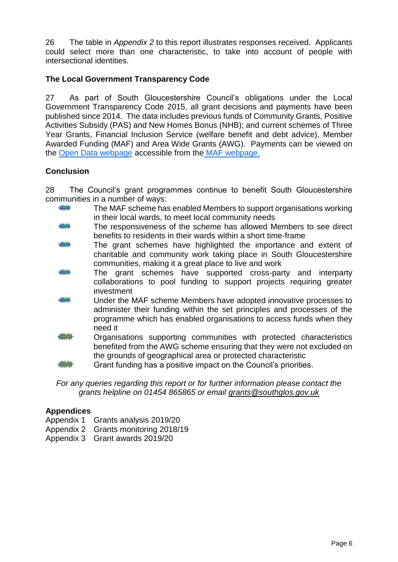26 The table in *Appendix 2* to this report illustrates responses received. Applicants could select more than one characteristic, to take into account of people with intersectional identities.

# **The Local Government Transparency Code**

27 As part of South Gloucestershire Council's obligations under the Local Government Transparency Code 2015, all grant decisions and payments have been published since 2014. The data includes previous funds of Community Grants, Positive Activities Subsidy (PAS) and New Homes Bonus (NHB); and current schemes of Three Year Grants, Financial Inclusion Service (welfare benefit and debt advice), Member Awarded Funding (MAF) and Area Wide Grants (AWG). Payments can be viewed on the [Open Data webpage](http://www.southglos.gov.uk/council-and-democracy/news-and-information-releases/open-data/) accessible from the [MAF webpage.](http://www.southglos.gov.uk/maf)

# **Conclusion**

28 The Council's grant programmes continue to benefit South Gloucestershire communities in a number of ways:

- ₩ The MAF scheme has enabled Members to support organisations working in their local wards, to meet local community needs
- The responsiveness of the scheme has allowed Members to see direct benefits to residents in their wards within a short time-frame
- The grant schemes have highlighted the importance and extent of charitable and community work taking place in South Gloucestershire communities, making it a great place to live and work
- The grant schemes have supported cross-party and interparty collaborations to pool funding to support projects requiring greater investment
- Under the MAF scheme Members have adopted innovative processes to administer their funding within the set principles and processes of the programme which has enabled organisations to access funds when they need it
- Organisations supporting communities with protected characteristics benefited from the AWG scheme ensuring that they were not excluded on the grounds of geographical area or protected characteristic
- Grant funding has a positive impact on the Council's priorities.

*For any queries regarding this report or for further information please contact the grants helpline on 01454 865865 or email grants@southglos.gov.uk*

#### **Appendices**

- Appendix 1 Grants analysis 2019/20
- Appendix 2 Grants monitoring 2018/19
- Appendix 3 Grant awards 2019/20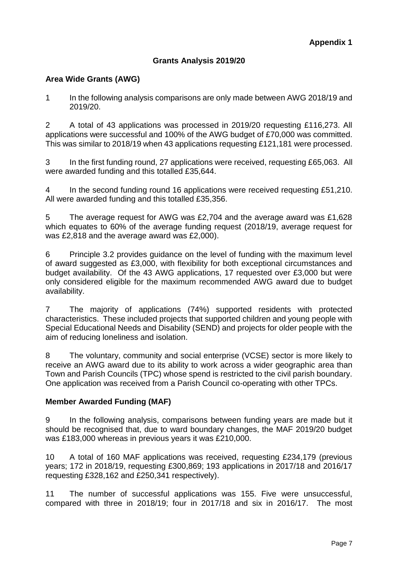# **Grants Analysis 2019/20**

# **Area Wide Grants (AWG)**

1 In the following analysis comparisons are only made between AWG 2018/19 and 2019/20.

2 A total of 43 applications was processed in 2019/20 requesting £116,273. All applications were successful and 100% of the AWG budget of £70,000 was committed. This was similar to 2018/19 when 43 applications requesting £121,181 were processed.

3 In the first funding round, 27 applications were received, requesting £65,063. All were awarded funding and this totalled £35,644.

4 In the second funding round 16 applications were received requesting £51,210. All were awarded funding and this totalled £35,356.

5 The average request for AWG was £2,704 and the average award was £1,628 which equates to 60% of the average funding request (2018/19, average request for was £2,818 and the average award was £2,000).

6 Principle 3.2 provides guidance on the level of funding with the maximum level of award suggested as £3,000, with flexibility for both exceptional circumstances and budget availability. Of the 43 AWG applications, 17 requested over £3,000 but were only considered eligible for the maximum recommended AWG award due to budget availability.

7 The majority of applications (74%) supported residents with protected characteristics. These included projects that supported children and young people with Special Educational Needs and Disability (SEND) and projects for older people with the aim of reducing loneliness and isolation.

8 The voluntary, community and social enterprise (VCSE) sector is more likely to receive an AWG award due to its ability to work across a wider geographic area than Town and Parish Councils (TPC) whose spend is restricted to the civil parish boundary. One application was received from a Parish Council co-operating with other TPCs.

#### **Member Awarded Funding (MAF)**

9 In the following analysis, comparisons between funding years are made but it should be recognised that, due to ward boundary changes, the MAF 2019/20 budget was £183,000 whereas in previous years it was £210,000.

10 A total of 160 MAF applications was received, requesting £234,179 (previous years; 172 in 2018/19, requesting £300,869; 193 applications in 2017/18 and 2016/17 requesting £328,162 and £250,341 respectively).

11 The number of successful applications was 155. Five were unsuccessful, compared with three in 2018/19; four in 2017/18 and six in 2016/17. The most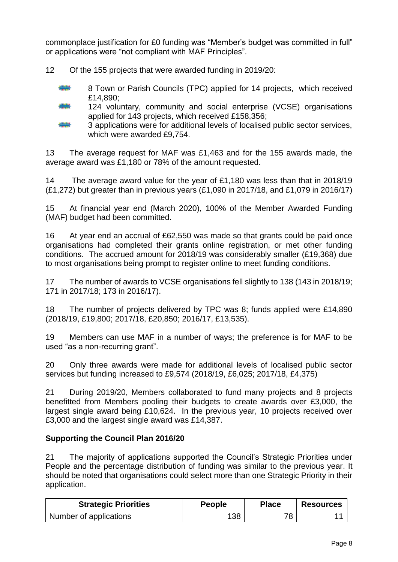commonplace justification for £0 funding was "Member's budget was committed in full" or applications were "not compliant with MAF Principles".

12 Of the 155 projects that were awarded funding in 2019/20:

- 8 Town or Parish Councils (TPC) applied for 14 projects, which received £14,890;
- 
- 124 voluntary, community and social enterprise (VCSE) organisations applied for 143 projects, which received £158,356;
- 3 applications were for additional levels of localised public sector services, which were awarded £9,754.

13 The average request for MAF was £1,463 and for the 155 awards made, the average award was £1,180 or 78% of the amount requested.

14 The average award value for the year of £1,180 was less than that in 2018/19 (£1,272) but greater than in previous years (£1,090 in 2017/18, and £1,079 in 2016/17)

15 At financial year end (March 2020), 100% of the Member Awarded Funding (MAF) budget had been committed.

16 At year end an accrual of £62,550 was made so that grants could be paid once organisations had completed their grants online registration, or met other funding conditions. The accrued amount for 2018/19 was considerably smaller (£19,368) due to most organisations being prompt to register online to meet funding conditions.

17 The number of awards to VCSE organisations fell slightly to 138 (143 in 2018/19; 171 in 2017/18; 173 in 2016/17).

18 The number of projects delivered by TPC was 8; funds applied were £14,890 (2018/19, £19,800; 2017/18, £20,850; 2016/17, £13,535).

19 Members can use MAF in a number of ways; the preference is for MAF to be used "as a non-recurring grant".

20 Only three awards were made for additional levels of localised public sector services but funding increased to £9,574 (2018/19, £6,025; 2017/18, £4,375)

21 During 2019/20, Members collaborated to fund many projects and 8 projects benefitted from Members pooling their budgets to create awards over £3,000, the largest single award being £10,624. In the previous year, 10 projects received over £3,000 and the largest single award was £14,387.

# **Supporting the Council Plan 2016/20**

21 The majority of applications supported the Council's Strategic Priorities under People and the percentage distribution of funding was similar to the previous year. It should be noted that organisations could select more than one Strategic Priority in their application.

| <b>Strategic Priorities</b> | People | <b>Place</b> | <b>Resources</b> |
|-----------------------------|--------|--------------|------------------|
| Number of applications      | 138    | 78           |                  |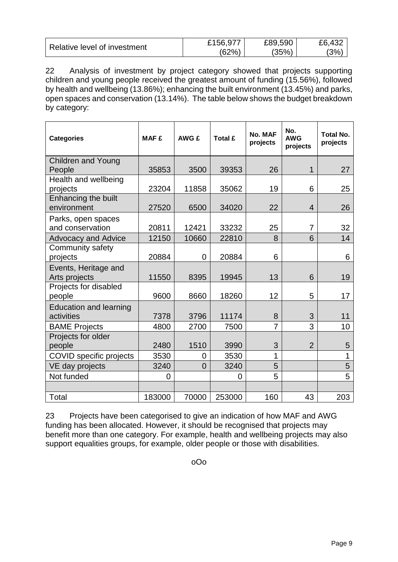|                              | £156,977 | £89,590 | £6,432 |
|------------------------------|----------|---------|--------|
| Relative level of investment | (62%)    | (35%)   | $3\%$  |

22 Analysis of investment by project category showed that projects supporting children and young people received the greatest amount of funding (15.56%), followed by health and wellbeing (13.86%); enhancing the built environment (13.45%) and parks, open spaces and conservation (13.14%). The table below shows the budget breakdown by category:

| <b>Categories</b>                           | <b>MAF £</b> | AWG £          | Total £ | No. MAF<br>projects | No.<br><b>AWG</b><br>projects | <b>Total No.</b><br>projects |
|---------------------------------------------|--------------|----------------|---------|---------------------|-------------------------------|------------------------------|
| <b>Children and Young</b>                   |              |                |         |                     |                               |                              |
| People                                      | 35853        | 3500           | 39353   | 26                  | 1                             | 27                           |
| Health and wellbeing                        |              |                |         |                     |                               |                              |
| projects                                    | 23204        | 11858          | 35062   | 19                  | 6                             | 25                           |
| Enhancing the built<br>environment          | 27520        | 6500           | 34020   | 22                  | 4                             | 26                           |
| Parks, open spaces                          |              |                |         |                     |                               |                              |
| and conservation                            | 20811        | 12421          | 33232   | 25                  | $\overline{7}$                | 32                           |
| <b>Advocacy and Advice</b>                  | 12150        | 10660          | 22810   | 8                   | 6                             | 14                           |
| Community safety<br>projects                | 20884        | $\mathbf 0$    | 20884   | 6                   |                               | 6                            |
| Events, Heritage and<br>Arts projects       | 11550        | 8395           | 19945   | 13                  | 6                             | 19                           |
| Projects for disabled<br>people             | 9600         | 8660           | 18260   | 12                  | 5                             | 17                           |
| <b>Education and learning</b><br>activities | 7378         | 3796           | 11174   | 8                   | 3                             | 11                           |
| <b>BAME Projects</b>                        | 4800         | 2700           | 7500    | $\overline{7}$      | 3                             | 10                           |
| Projects for older                          |              |                |         |                     |                               |                              |
| people                                      | 2480         | 1510           | 3990    | 3                   | $\overline{2}$                | 5                            |
| COVID specific projects                     | 3530         | 0              | 3530    | 1                   |                               | 1                            |
| VE day projects                             | 3240         | $\overline{0}$ | 3240    | 5                   |                               | 5                            |
| Not funded                                  | 0            |                | 0       | 5                   |                               | 5                            |
|                                             |              |                |         |                     |                               |                              |
| Total                                       | 183000       | 70000          | 253000  | 160                 | 43                            | 203                          |

23 Projects have been categorised to give an indication of how MAF and AWG funding has been allocated. However, it should be recognised that projects may benefit more than one category. For example, health and wellbeing projects may also support equalities groups, for example, older people or those with disabilities.

oOo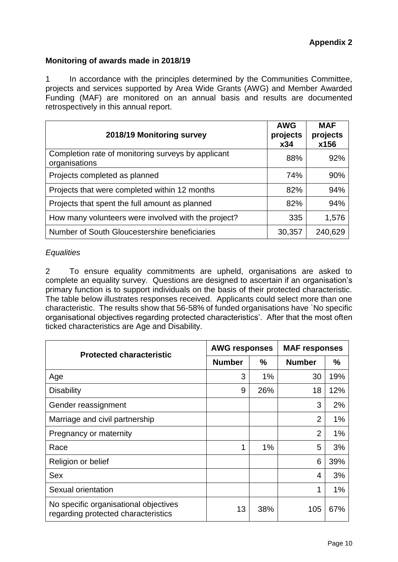# **Monitoring of awards made in 2018/19**

1 In accordance with the principles determined by the Communities Committee, projects and services supported by Area Wide Grants (AWG) and Member Awarded Funding (MAF) are monitored on an annual basis and results are documented retrospectively in this annual report.

| 2018/19 Monitoring survey                                           | <b>AWG</b><br>projects<br>x34 | <b>MAF</b><br>projects<br>x156 |
|---------------------------------------------------------------------|-------------------------------|--------------------------------|
| Completion rate of monitoring surveys by applicant<br>organisations | 88%                           | 92%                            |
| Projects completed as planned                                       | 74%                           | 90%                            |
| Projects that were completed within 12 months                       | 82%                           | 94%                            |
| Projects that spent the full amount as planned                      | 82%                           | 94%                            |
| How many volunteers were involved with the project?                 | 335                           | 1,576                          |
| Number of South Gloucestershire beneficiaries                       | 30,357                        | 240,629                        |

# *Equalities*

2 To ensure equality commitments are upheld, organisations are asked to complete an equality survey. Questions are designed to ascertain if an organisation's primary function is to support individuals on the basis of their protected characteristic. The table below illustrates responses received. Applicants could select more than one characteristic. The results show that 56-58% of funded organisations have `No specific organisational objectives regarding protected characteristics'. After that the most often ticked characteristics are Age and Disability.

| <b>Protected characteristic</b>                                              | <b>AWG responses</b> |               | <b>MAF responses</b> |     |  |
|------------------------------------------------------------------------------|----------------------|---------------|----------------------|-----|--|
|                                                                              | <b>Number</b>        | $\frac{9}{6}$ | <b>Number</b>        | %   |  |
| Age                                                                          | 3                    | $1\%$         | 30                   | 19% |  |
| <b>Disability</b>                                                            | 9                    | 26%           | 18                   | 12% |  |
| Gender reassignment                                                          |                      |               | 3                    | 2%  |  |
| Marriage and civil partnership                                               |                      |               | $\overline{2}$       | 1%  |  |
| Pregnancy or maternity                                                       |                      |               | $\overline{2}$       | 1%  |  |
| Race                                                                         | 1                    | 1%            | 5                    | 3%  |  |
| Religion or belief                                                           |                      |               | 6                    | 39% |  |
| <b>Sex</b>                                                                   |                      |               | 4                    | 3%  |  |
| Sexual orientation                                                           |                      |               | 1                    | 1%  |  |
| No specific organisational objectives<br>regarding protected characteristics | 13                   | 38%           | 105                  | 67% |  |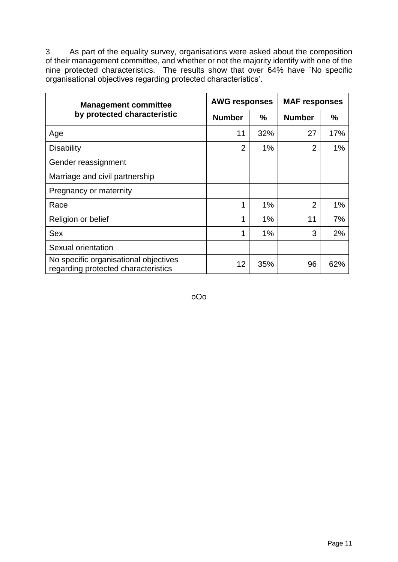3 As part of the equality survey, organisations were asked about the composition of their management committee, and whether or not the majority identify with one of the nine protected characteristics. The results show that over 64% have `No specific organisational objectives regarding protected characteristics'.

| <b>Management committee</b>                                                  | <b>AWG responses</b> |       | <b>MAF responses</b> |       |  |
|------------------------------------------------------------------------------|----------------------|-------|----------------------|-------|--|
| by protected characteristic                                                  | <b>Number</b>        | $\%$  | <b>Number</b>        | $\%$  |  |
| Age                                                                          | 11                   | 32%   | 27                   | 17%   |  |
| <b>Disability</b>                                                            | $\overline{2}$       | 1%    | $\overline{2}$       | $1\%$ |  |
| Gender reassignment                                                          |                      |       |                      |       |  |
| Marriage and civil partnership                                               |                      |       |                      |       |  |
| Pregnancy or maternity                                                       |                      |       |                      |       |  |
| Race                                                                         | 1                    | 1%    | $\overline{2}$       | 1%    |  |
| Religion or belief                                                           | 1                    | 1%    | 11                   | 7%    |  |
| <b>Sex</b>                                                                   | 1                    | $1\%$ | 3                    | 2%    |  |
| Sexual orientation                                                           |                      |       |                      |       |  |
| No specific organisational objectives<br>regarding protected characteristics | 12                   | 35%   | 96                   | 62%   |  |

oOo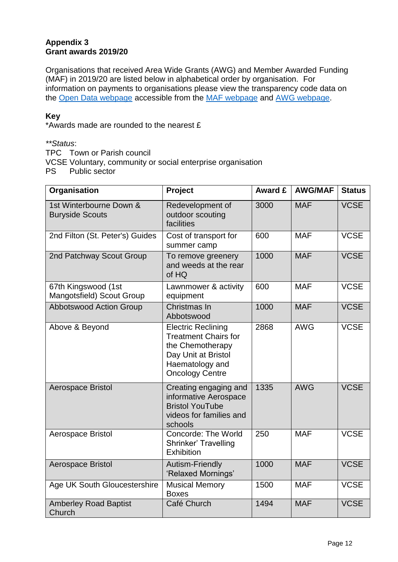# **Appendix 3 Grant awards 2019/20**

Organisations that received Area Wide Grants (AWG) and Member Awarded Funding (MAF) in 2019/20 are listed below in alphabetical order by organisation*.* For information on payments to organisations please view the transparency code data on the [Open Data webpage](http://www.southglos.gov.uk/council-and-democracy/news-and-information-releases/open-data/) accessible from the [MAF webpage](https://www.southglos.gov.uk/community-and-living/grants/community-grants/member-awarded-funding/) and [AWG webpage.](https://www.southglos.gov.uk/community-and-living/grants/community-grants/draft-area-wide-grants/)

# **Key**

\*Awards made are rounded to the nearest £

*\*\*Status*:

TPC Town or Parish council

VCSE Voluntary, community or social enterprise organisation

PS Public sector

| Organisation                                      | Project                                                                                                                                          | <b>Award £</b> | <b>AWG/MAF</b> | <b>Status</b> |
|---------------------------------------------------|--------------------------------------------------------------------------------------------------------------------------------------------------|----------------|----------------|---------------|
| 1st Winterbourne Down &<br><b>Buryside Scouts</b> | Redevelopment of<br>outdoor scouting<br>facilities                                                                                               | 3000           | <b>MAF</b>     | <b>VCSE</b>   |
| 2nd Filton (St. Peter's) Guides                   | Cost of transport for<br>summer camp                                                                                                             | 600            | <b>MAF</b>     | <b>VCSE</b>   |
| 2nd Patchway Scout Group                          | To remove greenery<br>and weeds at the rear<br>of HQ                                                                                             | 1000           | <b>MAF</b>     | <b>VCSE</b>   |
| 67th Kingswood (1st<br>Mangotsfield) Scout Group  | Lawnmower & activity<br>equipment                                                                                                                | 600            | <b>MAF</b>     | <b>VCSE</b>   |
| <b>Abbotswood Action Group</b>                    | Christmas In<br>Abbotswood                                                                                                                       | 1000           | <b>MAF</b>     | <b>VCSE</b>   |
| Above & Beyond                                    | <b>Electric Reclining</b><br><b>Treatment Chairs for</b><br>the Chemotherapy<br>Day Unit at Bristol<br>Haematology and<br><b>Oncology Centre</b> | 2868           | <b>AWG</b>     | <b>VCSE</b>   |
| Aerospace Bristol                                 | Creating engaging and<br>informative Aerospace<br><b>Bristol YouTube</b><br>videos for families and<br>schools                                   | 1335           | <b>AWG</b>     | <b>VCSE</b>   |
| Aerospace Bristol                                 | <b>Concorde: The World</b><br>Shrinker' Travelling<br>Exhibition                                                                                 | 250            | <b>MAF</b>     | <b>VCSE</b>   |
| Aerospace Bristol                                 | Autism-Friendly<br>'Relaxed Mornings'                                                                                                            | 1000           | <b>MAF</b>     | <b>VCSE</b>   |
| Age UK South Gloucestershire                      | <b>Musical Memory</b><br><b>Boxes</b>                                                                                                            | 1500           | <b>MAF</b>     | <b>VCSE</b>   |
| <b>Amberley Road Baptist</b><br>Church            | Café Church                                                                                                                                      | 1494           | <b>MAF</b>     | <b>VCSE</b>   |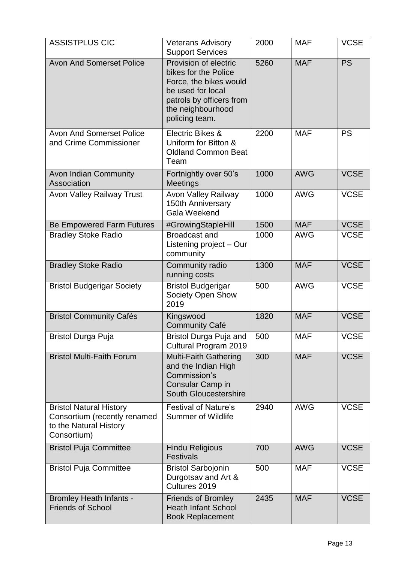| <b>ASSISTPLUS CIC</b>                                                                                   | <b>Veterans Advisory</b><br><b>Support Services</b>                                                                                                             | 2000 | <b>MAF</b> | <b>VCSE</b> |
|---------------------------------------------------------------------------------------------------------|-----------------------------------------------------------------------------------------------------------------------------------------------------------------|------|------------|-------------|
| <b>Avon And Somerset Police</b>                                                                         | Provision of electric<br>bikes for the Police<br>Force, the bikes would<br>be used for local<br>patrols by officers from<br>the neighbourhood<br>policing team. | 5260 | <b>MAF</b> | <b>PS</b>   |
| <b>Avon And Somerset Police</b><br>and Crime Commissioner                                               | Electric Bikes &<br>Uniform for Bitton &<br><b>Oldland Common Beat</b><br>Team                                                                                  | 2200 | <b>MAF</b> | <b>PS</b>   |
| <b>Avon Indian Community</b><br>Association                                                             | Fortnightly over 50's<br>Meetings                                                                                                                               | 1000 | <b>AWG</b> | <b>VCSE</b> |
| <b>Avon Valley Railway Trust</b>                                                                        | <b>Avon Valley Railway</b><br>150th Anniversary<br>Gala Weekend                                                                                                 | 1000 | <b>AWG</b> | <b>VCSE</b> |
| <b>Be Empowered Farm Futures</b>                                                                        | #GrowingStapleHill                                                                                                                                              | 1500 | <b>MAF</b> | <b>VCSE</b> |
| <b>Bradley Stoke Radio</b>                                                                              | <b>Broadcast and</b><br>Listening project - Our<br>community                                                                                                    | 1000 | <b>AWG</b> | <b>VCSE</b> |
| <b>Bradley Stoke Radio</b>                                                                              | Community radio<br>running costs                                                                                                                                | 1300 | <b>MAF</b> | <b>VCSE</b> |
| <b>Bristol Budgerigar Society</b>                                                                       | <b>Bristol Budgerigar</b><br>Society Open Show<br>2019                                                                                                          | 500  | <b>AWG</b> | <b>VCSE</b> |
| <b>Bristol Community Cafés</b>                                                                          | Kingswood<br><b>Community Café</b>                                                                                                                              | 1820 | <b>MAF</b> | <b>VCSE</b> |
| <b>Bristol Durga Puja</b>                                                                               | Bristol Durga Puja and<br>Cultural Program 2019                                                                                                                 | 500  | <b>MAF</b> | <b>VCSE</b> |
| <b>Bristol Multi-Faith Forum</b>                                                                        | <b>Multi-Faith Gathering</b><br>and the Indian High<br>Commission's<br>Consular Camp in<br>South Gloucestershire                                                | 300  | <b>MAF</b> | <b>VCSE</b> |
| <b>Bristol Natural History</b><br>Consortium (recently renamed<br>to the Natural History<br>Consortium) | <b>Festival of Nature's</b><br><b>Summer of Wildlife</b>                                                                                                        | 2940 | <b>AWG</b> | <b>VCSE</b> |
| <b>Bristol Puja Committee</b>                                                                           | <b>Hindu Religious</b><br><b>Festivals</b>                                                                                                                      | 700  | <b>AWG</b> | <b>VCSE</b> |
| <b>Bristol Puja Committee</b>                                                                           | <b>Bristol Sarbojonin</b><br>Durgotsav and Art &<br>Cultures 2019                                                                                               | 500  | <b>MAF</b> | <b>VCSE</b> |
| <b>Bromley Heath Infants -</b><br><b>Friends of School</b>                                              | <b>Friends of Bromley</b><br><b>Heath Infant School</b><br><b>Book Replacement</b>                                                                              | 2435 | <b>MAF</b> | <b>VCSE</b> |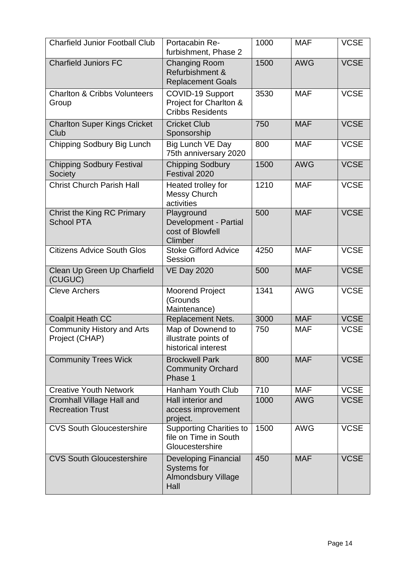| <b>Charfield Junior Football Club</b>                | Portacabin Re-<br>furbishment, Phase 2                                                  | 1000 | <b>MAF</b> | <b>VCSE</b> |
|------------------------------------------------------|-----------------------------------------------------------------------------------------|------|------------|-------------|
| <b>Charfield Juniors FC</b>                          | <b>Changing Room</b><br>Refurbishment &<br><b>Replacement Goals</b>                     | 1500 | <b>AWG</b> | <b>VCSE</b> |
| <b>Charlton &amp; Cribbs Volunteers</b><br>Group     | COVID-19 Support<br>Project for Charlton &<br><b>Cribbs Residents</b>                   | 3530 | <b>MAF</b> | <b>VCSE</b> |
| <b>Charlton Super Kings Cricket</b><br>Club          | <b>Cricket Club</b><br>Sponsorship                                                      | 750  | <b>MAF</b> | <b>VCSE</b> |
| Chipping Sodbury Big Lunch                           | Big Lunch VE Day<br>75th anniversary 2020                                               | 800  | <b>MAF</b> | <b>VCSE</b> |
| <b>Chipping Sodbury Festival</b><br>Society          | <b>Chipping Sodbury</b><br>Festival 2020                                                | 1500 | <b>AWG</b> | <b>VCSE</b> |
| <b>Christ Church Parish Hall</b>                     | Heated trolley for<br><b>Messy Church</b><br>activities                                 | 1210 | <b>MAF</b> | <b>VCSE</b> |
| Christ the King RC Primary<br><b>School PTA</b>      | Playground<br>Development - Partial<br>cost of Blowfell<br>Climber                      | 500  | <b>MAF</b> | <b>VCSE</b> |
| <b>Citizens Advice South Glos</b>                    | <b>Stoke Gifford Advice</b><br>Session                                                  | 4250 | <b>MAF</b> | <b>VCSE</b> |
| Clean Up Green Up Charfield<br>(CUGUC)               | <b>VE Day 2020</b>                                                                      | 500  | <b>MAF</b> | <b>VCSE</b> |
| <b>Cleve Archers</b>                                 | <b>Moorend Project</b><br>(Grounds<br>Maintenance)                                      | 1341 | <b>AWG</b> | <b>VCSE</b> |
| <b>Coalpit Heath CC</b>                              | Replacement Nets.                                                                       | 3000 | <b>MAF</b> | <b>VCSE</b> |
| <b>Community History and Arts</b><br>Project (CHAP)  | Map of Downend to<br>illustrate points of<br>historical interest                        | 750  | <b>MAF</b> | <b>VCSE</b> |
| <b>Community Trees Wick</b>                          | <b>Brockwell Park</b><br><b>Community Orchard</b><br>Phase 1                            | 800  | <b>MAF</b> | <b>VCSE</b> |
| <b>Creative Youth Network</b>                        | Hanham Youth Club                                                                       | 710  | <b>MAF</b> | <b>VCSE</b> |
| Cromhall Village Hall and<br><b>Recreation Trust</b> | Hall interior and<br>access improvement<br>project.                                     | 1000 | <b>AWG</b> | <b>VCSE</b> |
| <b>CVS South Gloucestershire</b>                     | <b>Supporting Charities to</b><br>file on Time in South<br>Gloucestershire              | 1500 | <b>AWG</b> | <b>VCSE</b> |
| <b>CVS South Gloucestershire</b>                     | <b>Developing Financial</b><br><b>Systems for</b><br><b>Almondsbury Village</b><br>Hall | 450  | <b>MAF</b> | <b>VCSE</b> |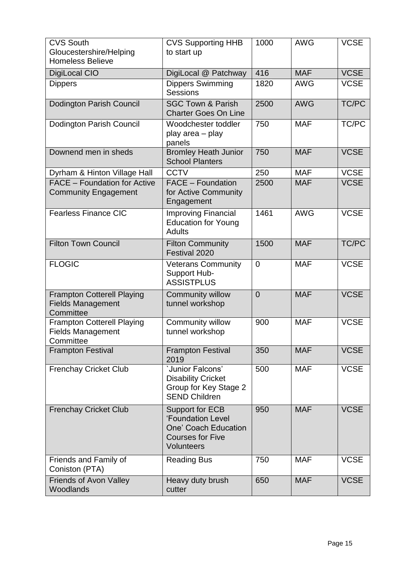| <b>CVS South</b><br>Gloucestershire/Helping<br><b>Homeless Believe</b>     | <b>CVS Supporting HHB</b><br>to start up                                                                            | 1000           | <b>AWG</b> | <b>VCSE</b>  |
|----------------------------------------------------------------------------|---------------------------------------------------------------------------------------------------------------------|----------------|------------|--------------|
| <b>DigiLocal CIO</b>                                                       | DigiLocal @ Patchway                                                                                                | 416            | <b>MAF</b> | <b>VCSE</b>  |
| <b>Dippers</b>                                                             | <b>Dippers Swimming</b><br><b>Sessions</b>                                                                          | 1820           | <b>AWG</b> | <b>VCSE</b>  |
| <b>Dodington Parish Council</b>                                            | <b>SGC Town &amp; Parish</b><br><b>Charter Goes On Line</b>                                                         | 2500           | <b>AWG</b> | <b>TC/PC</b> |
| Dodington Parish Council                                                   | Woodchester toddler<br>play area - play<br>panels                                                                   | 750            | <b>MAF</b> | TC/PC        |
| Downend men in sheds                                                       | <b>Bromley Heath Junior</b><br><b>School Planters</b>                                                               | 750            | <b>MAF</b> | <b>VCSE</b>  |
| Dyrham & Hinton Village Hall                                               | <b>CCTV</b>                                                                                                         | 250            | <b>MAF</b> | <b>VCSE</b>  |
| <b>FACE - Foundation for Active</b><br><b>Community Engagement</b>         | <b>FACE - Foundation</b><br>for Active Community<br>Engagement                                                      | 2500           | <b>MAF</b> | <b>VCSE</b>  |
| <b>Fearless Finance CIC</b>                                                | <b>Improving Financial</b><br><b>Education for Young</b><br><b>Adults</b>                                           | 1461           | <b>AWG</b> | <b>VCSE</b>  |
| <b>Filton Town Council</b>                                                 | <b>Filton Community</b><br>Festival 2020                                                                            | 1500           | <b>MAF</b> | TC/PC        |
| <b>FLOGIC</b>                                                              | <b>Veterans Community</b><br>Support Hub-<br><b>ASSISTPLUS</b>                                                      | $\overline{0}$ | <b>MAF</b> | <b>VCSE</b>  |
| <b>Frampton Cotterell Playing</b><br><b>Fields Management</b><br>Committee | <b>Community willow</b><br>tunnel workshop                                                                          | $\overline{0}$ | <b>MAF</b> | <b>VCSE</b>  |
| <b>Frampton Cotterell Playing</b><br><b>Fields Management</b><br>Committee | Community willow<br>tunnel workshop                                                                                 | 900            | <b>MAF</b> | <b>VCSE</b>  |
| <b>Frampton Festival</b>                                                   | <b>Frampton Festival</b><br>2019                                                                                    | 350            | <b>MAF</b> | <b>VCSE</b>  |
| <b>Frenchay Cricket Club</b>                                               | 'Junior Falcons'<br><b>Disability Cricket</b><br>Group for Key Stage 2<br><b>SEND Children</b>                      | 500            | <b>MAF</b> | <b>VCSE</b>  |
| <b>Frenchay Cricket Club</b>                                               | <b>Support for ECB</b><br><b>'Foundation Level</b><br>One' Coach Education<br><b>Courses for Five</b><br>Volunteers | 950            | <b>MAF</b> | <b>VCSE</b>  |
| Friends and Family of<br>Coniston (PTA)                                    | <b>Reading Bus</b>                                                                                                  | 750            | <b>MAF</b> | <b>VCSE</b>  |
| <b>Friends of Avon Valley</b><br>Woodlands                                 | Heavy duty brush<br>cutter                                                                                          | 650            | <b>MAF</b> | <b>VCSE</b>  |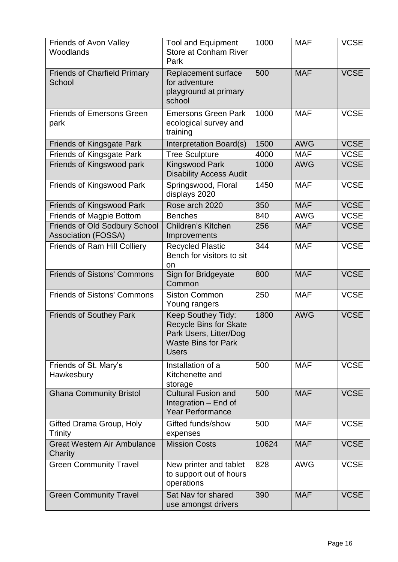| <b>Friends of Avon Valley</b><br>Woodlands                  | <b>Tool and Equipment</b><br><b>Store at Conham River</b><br>Park                                                           | 1000  | <b>MAF</b> | <b>VCSE</b> |
|-------------------------------------------------------------|-----------------------------------------------------------------------------------------------------------------------------|-------|------------|-------------|
| <b>Friends of Charfield Primary</b><br>School               | Replacement surface<br>for adventure<br>playground at primary<br>school                                                     | 500   | <b>MAF</b> | <b>VCSE</b> |
| <b>Friends of Emersons Green</b><br>park                    | <b>Emersons Green Park</b><br>ecological survey and<br>training                                                             | 1000  | <b>MAF</b> | <b>VCSE</b> |
| <b>Friends of Kingsgate Park</b>                            | Interpretation Board(s)                                                                                                     | 1500  | <b>AWG</b> | <b>VCSE</b> |
| <b>Friends of Kingsgate Park</b>                            | <b>Tree Sculpture</b>                                                                                                       | 4000  | <b>MAF</b> | <b>VCSE</b> |
| Friends of Kingswood park                                   | <b>Kingswood Park</b><br><b>Disability Access Audit</b>                                                                     | 1000  | <b>AWG</b> | <b>VCSE</b> |
| <b>Friends of Kingswood Park</b>                            | Springswood, Floral<br>displays 2020                                                                                        | 1450  | <b>MAF</b> | <b>VCSE</b> |
| <b>Friends of Kingswood Park</b>                            | Rose arch 2020                                                                                                              | 350   | <b>MAF</b> | <b>VCSE</b> |
| <b>Friends of Magpie Bottom</b>                             | <b>Benches</b>                                                                                                              | 840   | <b>AWG</b> | <b>VCSE</b> |
| Friends of Old Sodbury School<br><b>Association (FOSSA)</b> | Children's Kitchen<br>Improvements                                                                                          | 256   | <b>MAF</b> | <b>VCSE</b> |
| <b>Friends of Ram Hill Colliery</b>                         | <b>Recycled Plastic</b><br>Bench for visitors to sit<br>on                                                                  | 344   | <b>MAF</b> | <b>VCSE</b> |
| <b>Friends of Sistons' Commons</b>                          | Sign for Bridgeyate<br>Common                                                                                               | 800   | <b>MAF</b> | <b>VCSE</b> |
| <b>Friends of Sistons' Commons</b>                          | <b>Siston Common</b><br>Young rangers                                                                                       | 250   | <b>MAF</b> | <b>VCSE</b> |
| <b>Friends of Southey Park</b>                              | Keep Southey Tidy:<br><b>Recycle Bins for Skate</b><br>Park Users, Litter/Dog<br><b>Waste Bins for Park</b><br><b>Users</b> | 1800  | <b>AWG</b> | <b>VCSE</b> |
| Friends of St. Mary's<br>Hawkesbury                         | Installation of a<br>Kitchenette and<br>storage                                                                             | 500   | <b>MAF</b> | <b>VCSE</b> |
| <b>Ghana Community Bristol</b>                              | <b>Cultural Fusion and</b><br>Integration - End of<br><b>Year Performance</b>                                               | 500   | <b>MAF</b> | <b>VCSE</b> |
| Gifted Drama Group, Holy<br>Trinity                         | Gifted funds/show<br>expenses                                                                                               | 500   | <b>MAF</b> | <b>VCSE</b> |
| <b>Great Western Air Ambulance</b><br>Charity               | <b>Mission Costs</b>                                                                                                        | 10624 | <b>MAF</b> | <b>VCSE</b> |
| <b>Green Community Travel</b>                               | New printer and tablet<br>to support out of hours<br>operations                                                             | 828   | <b>AWG</b> | <b>VCSE</b> |
| <b>Green Community Travel</b>                               | Sat Nav for shared<br>use amongst drivers                                                                                   | 390   | <b>MAF</b> | <b>VCSE</b> |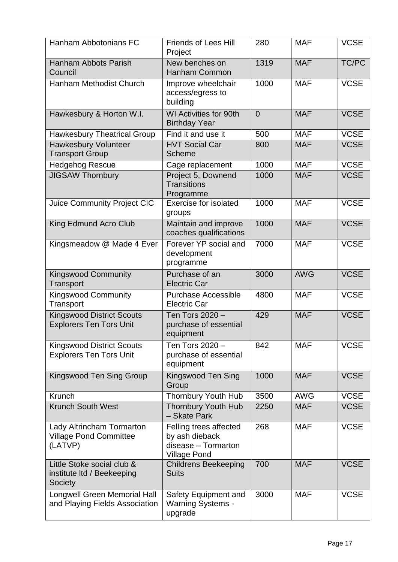| Hanham Abbotonians FC                                                 | <b>Friends of Lees Hill</b><br>Project                                                 | 280            | <b>MAF</b> | <b>VCSE</b> |
|-----------------------------------------------------------------------|----------------------------------------------------------------------------------------|----------------|------------|-------------|
| <b>Hanham Abbots Parish</b><br>Council                                | New benches on<br><b>Hanham Common</b>                                                 | 1319           | <b>MAF</b> | TC/PC       |
| <b>Hanham Methodist Church</b>                                        | Improve wheelchair<br>access/egress to<br>building                                     | 1000           | <b>MAF</b> | <b>VCSE</b> |
| Hawkesbury & Horton W.I.                                              | <b>WI Activities for 90th</b><br><b>Birthday Year</b>                                  | $\overline{0}$ | <b>MAF</b> | <b>VCSE</b> |
| <b>Hawkesbury Theatrical Group</b>                                    | Find it and use it                                                                     | 500            | <b>MAF</b> | <b>VCSE</b> |
| <b>Hawkesbury Volunteer</b><br><b>Transport Group</b>                 | <b>HVT Social Car</b><br><b>Scheme</b>                                                 | 800            | <b>MAF</b> | <b>VCSE</b> |
| <b>Hedgehog Rescue</b>                                                | Cage replacement                                                                       | 1000           | <b>MAF</b> | <b>VCSE</b> |
| <b>JIGSAW Thornbury</b>                                               | Project 5, Downend<br><b>Transitions</b><br>Programme                                  | 1000           | <b>MAF</b> | <b>VCSE</b> |
| Juice Community Project CIC                                           | <b>Exercise for isolated</b><br>groups                                                 | 1000           | <b>MAF</b> | <b>VCSE</b> |
| King Edmund Acro Club                                                 | Maintain and improve<br>coaches qualifications                                         | 1000           | <b>MAF</b> | <b>VCSE</b> |
| Kingsmeadow @ Made 4 Ever                                             | Forever YP social and<br>development<br>programme                                      | 7000           | <b>MAF</b> | <b>VCSE</b> |
| <b>Kingswood Community</b><br>Transport                               | Purchase of an<br><b>Electric Car</b>                                                  | 3000           | <b>AWG</b> | <b>VCSE</b> |
| <b>Kingswood Community</b><br>Transport                               | <b>Purchase Accessible</b><br><b>Electric Car</b>                                      | 4800           | <b>MAF</b> | <b>VCSE</b> |
| <b>Kingswood District Scouts</b><br><b>Explorers Ten Tors Unit</b>    | Ten Tors 2020 -<br>purchase of essential<br>equipment                                  | 429            | <b>MAF</b> | <b>VCSE</b> |
| <b>Kingswood District Scouts</b><br><b>Explorers Ten Tors Unit</b>    | Ten Tors 2020 -<br>purchase of essential<br>equipment                                  | 842            | <b>MAF</b> | <b>VCSE</b> |
| Kingswood Ten Sing Group                                              | Kingswood Ten Sing<br>Group                                                            | 1000           | <b>MAF</b> | <b>VCSE</b> |
| Krunch                                                                | <b>Thornbury Youth Hub</b>                                                             | 3500           | <b>AWG</b> | <b>VCSE</b> |
| <b>Krunch South West</b>                                              | <b>Thornbury Youth Hub</b><br>- Skate Park                                             | 2250           | <b>MAF</b> | <b>VCSE</b> |
| Lady Altrincham Tormarton<br><b>Village Pond Committee</b><br>(LATVP) | Felling trees affected<br>by ash dieback<br>disease - Tormarton<br><b>Village Pond</b> | 268            | <b>MAF</b> | <b>VCSE</b> |
| Little Stoke social club &<br>institute Itd / Beekeeping<br>Society   | <b>Childrens Beekeeping</b><br><b>Suits</b>                                            | 700            | <b>MAF</b> | <b>VCSE</b> |
| <b>Longwell Green Memorial Hall</b><br>and Playing Fields Association | Safety Equipment and<br><b>Warning Systems -</b><br>upgrade                            | 3000           | <b>MAF</b> | <b>VCSE</b> |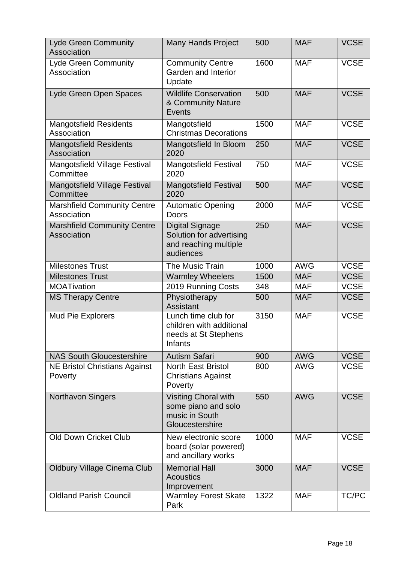| <b>Lyde Green Community</b><br>Association               | <b>Many Hands Project</b>                                                                | 500  | <b>MAF</b> | <b>VCSE</b> |
|----------------------------------------------------------|------------------------------------------------------------------------------------------|------|------------|-------------|
| <b>Lyde Green Community</b><br>Association               | <b>Community Centre</b><br>Garden and Interior<br>Update                                 | 1600 | <b>MAF</b> | <b>VCSE</b> |
| Lyde Green Open Spaces                                   | <b>Wildlife Conservation</b><br>& Community Nature<br>Events                             | 500  | <b>MAF</b> | <b>VCSE</b> |
| <b>Mangotsfield Residents</b><br>Association             | Mangotsfield<br><b>Christmas Decorations</b>                                             | 1500 | <b>MAF</b> | <b>VCSE</b> |
| <b>Mangotsfield Residents</b><br>Association             | Mangotsfield In Bloom<br>2020                                                            | 250  | <b>MAF</b> | <b>VCSE</b> |
| Mangotsfield Village Festival<br>Committee               | <b>Mangotsfield Festival</b><br>2020                                                     | 750  | <b>MAF</b> | <b>VCSE</b> |
| Mangotsfield Village Festival<br>Committee               | <b>Mangotsfield Festival</b><br>2020                                                     | 500  | <b>MAF</b> | <b>VCSE</b> |
| <b>Marshfield Community Centre</b><br>Association        | <b>Automatic Opening</b><br><b>Doors</b>                                                 | 2000 | <b>MAF</b> | <b>VCSE</b> |
| <b>Marshfield Community Centre</b><br><b>Association</b> | <b>Digital Signage</b><br>Solution for advertising<br>and reaching multiple<br>audiences | 250  | <b>MAF</b> | <b>VCSE</b> |
| <b>Milestones Trust</b>                                  | The Music Train                                                                          | 1000 | <b>AWG</b> | <b>VCSE</b> |
| <b>Milestones Trust</b>                                  | <b>Warmley Wheelers</b>                                                                  | 1500 | <b>MAF</b> | <b>VCSE</b> |
| <b>MOATivation</b>                                       | 2019 Running Costs                                                                       | 348  | <b>MAF</b> | <b>VCSE</b> |
| <b>MS Therapy Centre</b>                                 | Physiotherapy<br><b>Assistant</b>                                                        | 500  | <b>MAF</b> | <b>VCSE</b> |
| <b>Mud Pie Explorers</b>                                 | Lunch time club for<br>children with additional<br>needs at St Stephens<br>Infants       | 3150 | <b>MAF</b> | <b>VCSE</b> |
| <b>NAS South Gloucestershire</b>                         | <b>Autism Safari</b>                                                                     | 900  | <b>AWG</b> | <b>VCSE</b> |
| <b>NE Bristol Christians Against</b><br>Poverty          | North East Bristol<br><b>Christians Against</b><br>Poverty                               | 800  | <b>AWG</b> | <b>VCSE</b> |
| <b>Northavon Singers</b>                                 | <b>Visiting Choral with</b><br>some piano and solo<br>music in South<br>Gloucestershire  | 550  | <b>AWG</b> | <b>VCSE</b> |
| <b>Old Down Cricket Club</b>                             | New electronic score<br>board (solar powered)<br>and ancillary works                     | 1000 | <b>MAF</b> | <b>VCSE</b> |
| <b>Oldbury Village Cinema Club</b>                       | <b>Memorial Hall</b><br><b>Acoustics</b><br>Improvement                                  | 3000 | <b>MAF</b> | <b>VCSE</b> |
| <b>Oldland Parish Council</b>                            | <b>Warmley Forest Skate</b><br>Park                                                      | 1322 | <b>MAF</b> | TC/PC       |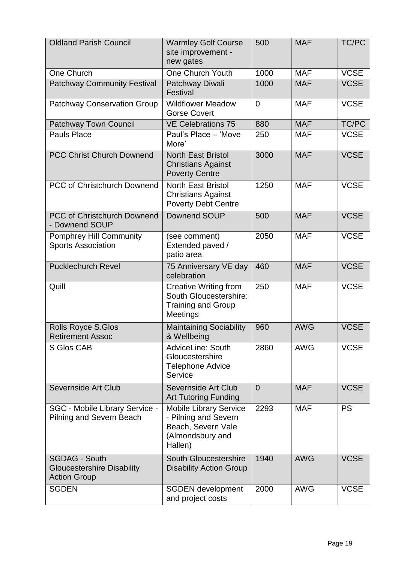| <b>Oldland Parish Council</b>                                                    | <b>Warmley Golf Course</b><br>site improvement -<br>new gates                                              | 500            | <b>MAF</b> | TC/PC       |
|----------------------------------------------------------------------------------|------------------------------------------------------------------------------------------------------------|----------------|------------|-------------|
| One Church                                                                       | One Church Youth                                                                                           | 1000           | <b>MAF</b> | <b>VCSE</b> |
| <b>Patchway Community Festival</b>                                               | Patchway Diwali<br>Festival                                                                                | 1000           | <b>MAF</b> | <b>VCSE</b> |
| <b>Patchway Conservation Group</b>                                               | <b>Wildflower Meadow</b><br><b>Gorse Covert</b>                                                            | $\overline{0}$ | <b>MAF</b> | <b>VCSE</b> |
| <b>Patchway Town Council</b>                                                     | <b>VE Celebrations 75</b>                                                                                  | 880            | <b>MAF</b> | TC/PC       |
| <b>Pauls Place</b>                                                               | Paul's Place - 'Move<br>More'                                                                              | 250            | <b>MAF</b> | <b>VCSE</b> |
| <b>PCC Christ Church Downend</b>                                                 | <b>North East Bristol</b><br><b>Christians Against</b><br><b>Poverty Centre</b>                            | 3000           | <b>MAF</b> | <b>VCSE</b> |
| <b>PCC of Christchurch Downend</b>                                               | <b>North East Bristol</b><br><b>Christians Against</b><br><b>Poverty Debt Centre</b>                       | 1250           | <b>MAF</b> | <b>VCSE</b> |
| <b>PCC of Christchurch Downend</b><br>- Downend SOUP                             | Downend SOUP                                                                                               | 500            | <b>MAF</b> | <b>VCSE</b> |
| <b>Pomphrey Hill Community</b><br><b>Sports Association</b>                      | (see comment)<br>Extended paved /<br>patio area                                                            | 2050           | <b>MAF</b> | <b>VCSE</b> |
| <b>Pucklechurch Revel</b>                                                        | 75 Anniversary VE day<br>celebration                                                                       | 460            | <b>MAF</b> | <b>VCSE</b> |
| Quill                                                                            | <b>Creative Writing from</b><br>South Gloucestershire:<br><b>Training and Group</b><br>Meetings            | 250            | <b>MAF</b> | <b>VCSE</b> |
| Rolls Royce S.Glos<br><b>Retirement Assoc</b>                                    | <b>Maintaining Sociability</b><br>& Wellbeing                                                              | 960            | <b>AWG</b> | <b>VCSE</b> |
| <b>S Glos CAB</b>                                                                | AdviceLine: South<br>Gloucestershire<br><b>Telephone Advice</b><br>Service                                 | 2860           | <b>AWG</b> | <b>VCSE</b> |
| Severnside Art Club                                                              | Severnside Art Club<br><b>Art Tutoring Funding</b>                                                         | $\overline{0}$ | <b>MAF</b> | <b>VCSE</b> |
| <b>SGC - Mobile Library Service -</b><br><b>Pilning and Severn Beach</b>         | <b>Mobile Library Service</b><br>- Pilning and Severn<br>Beach, Severn Vale<br>(Almondsbury and<br>Hallen) | 2293           | <b>MAF</b> | <b>PS</b>   |
| <b>SGDAG - South</b><br><b>Gloucestershire Disability</b><br><b>Action Group</b> | <b>South Gloucestershire</b><br><b>Disability Action Group</b>                                             | 1940           | <b>AWG</b> | <b>VCSE</b> |
| <b>SGDEN</b>                                                                     | <b>SGDEN</b> development<br>and project costs                                                              | 2000           | <b>AWG</b> | <b>VCSE</b> |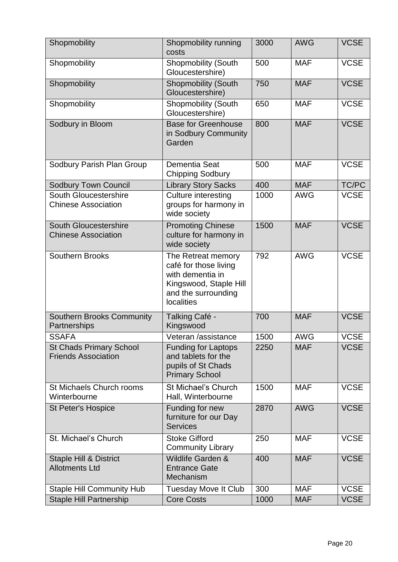| Shopmobility                                                 | Shopmobility running<br>costs                                                                                                  | 3000 | <b>AWG</b> | <b>VCSE</b> |
|--------------------------------------------------------------|--------------------------------------------------------------------------------------------------------------------------------|------|------------|-------------|
| Shopmobility                                                 | <b>Shopmobility (South</b><br>Gloucestershire)                                                                                 | 500  | <b>MAF</b> | <b>VCSE</b> |
| Shopmobility                                                 | Shopmobility (South<br>Gloucestershire)                                                                                        | 750  | <b>MAF</b> | <b>VCSE</b> |
| Shopmobility                                                 | <b>Shopmobility (South</b><br>Gloucestershire)                                                                                 | 650  | <b>MAF</b> | <b>VCSE</b> |
| Sodbury in Bloom                                             | <b>Base for Greenhouse</b><br>in Sodbury Community<br>Garden                                                                   | 800  | <b>MAF</b> | <b>VCSE</b> |
| Sodbury Parish Plan Group                                    | Dementia Seat<br><b>Chipping Sodbury</b>                                                                                       | 500  | <b>MAF</b> | <b>VCSE</b> |
| <b>Sodbury Town Council</b>                                  | <b>Library Story Sacks</b>                                                                                                     | 400  | <b>MAF</b> | TC/PC       |
| South Gloucestershire<br><b>Chinese Association</b>          | <b>Culture interesting</b><br>groups for harmony in<br>wide society                                                            | 1000 | <b>AWG</b> | <b>VCSE</b> |
| South Gloucestershire<br><b>Chinese Association</b>          | <b>Promoting Chinese</b><br>culture for harmony in<br>wide society                                                             | 1500 | <b>MAF</b> | <b>VCSE</b> |
| <b>Southern Brooks</b>                                       | The Retreat memory<br>café for those living<br>with dementia in<br>Kingswood, Staple Hill<br>and the surrounding<br>localities | 792  | <b>AWG</b> | <b>VCSE</b> |
| <b>Southern Brooks Community</b><br>Partnerships             | Talking Café -<br>Kingswood                                                                                                    | 700  | <b>MAF</b> | <b>VCSE</b> |
| <b>SSAFA</b>                                                 | Veteran /assistance                                                                                                            | 1500 | <b>AWG</b> | <b>VCSE</b> |
| <b>St Chads Primary School</b><br><b>Friends Association</b> | <b>Funding for Laptops</b><br>and tablets for the<br>pupils of St Chads<br><b>Primary School</b>                               | 2250 | <b>MAF</b> | <b>VCSE</b> |
| St Michaels Church rooms<br>Winterbourne                     | St Michael's Church<br>Hall, Winterbourne                                                                                      | 1500 | <b>MAF</b> | <b>VCSE</b> |
| <b>St Peter's Hospice</b>                                    | Funding for new<br>furniture for our Day<br><b>Services</b>                                                                    | 2870 | <b>AWG</b> | <b>VCSE</b> |
| St. Michael's Church                                         | <b>Stoke Gifford</b><br><b>Community Library</b>                                                                               | 250  | <b>MAF</b> | <b>VCSE</b> |
| <b>Staple Hill &amp; District</b><br><b>Allotments Ltd</b>   | Wildlife Garden &<br><b>Entrance Gate</b><br>Mechanism                                                                         | 400  | <b>MAF</b> | <b>VCSE</b> |
| <b>Staple Hill Community Hub</b>                             | <b>Tuesday Move It Club</b>                                                                                                    | 300  | <b>MAF</b> | <b>VCSE</b> |
| <b>Staple Hill Partnership</b>                               | <b>Core Costs</b>                                                                                                              | 1000 | <b>MAF</b> | <b>VCSE</b> |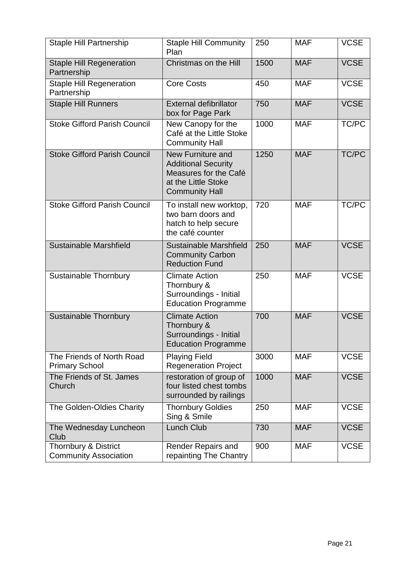| <b>Staple Hill Partnership</b>                                  | <b>Staple Hill Community</b><br>Plan                                                                                     | 250  | <b>MAF</b> | <b>VCSE</b>  |
|-----------------------------------------------------------------|--------------------------------------------------------------------------------------------------------------------------|------|------------|--------------|
| <b>Staple Hill Regeneration</b><br>Partnership                  | Christmas on the Hill                                                                                                    | 1500 | <b>MAF</b> | <b>VCSE</b>  |
| <b>Staple Hill Regeneration</b><br>Partnership                  | <b>Core Costs</b>                                                                                                        | 450  | <b>MAF</b> | <b>VCSE</b>  |
| <b>Staple Hill Runners</b>                                      | <b>External defibrillator</b><br>box for Page Park                                                                       | 750  | <b>MAF</b> | <b>VCSE</b>  |
| <b>Stoke Gifford Parish Council</b>                             | New Canopy for the<br>Café at the Little Stoke<br><b>Community Hall</b>                                                  | 1000 | <b>MAF</b> | TC/PC        |
| <b>Stoke Gifford Parish Council</b>                             | New Furniture and<br><b>Additional Security</b><br>Measures for the Café<br>at the Little Stoke<br><b>Community Hall</b> | 1250 | <b>MAF</b> | <b>TC/PC</b> |
| <b>Stoke Gifford Parish Council</b>                             | To install new worktop,<br>two barn doors and<br>hatch to help secure<br>the café counter                                | 720  | <b>MAF</b> | TC/PC        |
| Sustainable Marshfield                                          | Sustainable Marshfield<br><b>Community Carbon</b><br><b>Reduction Fund</b>                                               | 250  | <b>MAF</b> | <b>VCSE</b>  |
| <b>Sustainable Thornbury</b>                                    | <b>Climate Action</b><br>Thornbury &<br>Surroundings - Initial<br><b>Education Programme</b>                             | 250  | <b>MAF</b> | <b>VCSE</b>  |
| <b>Sustainable Thornbury</b>                                    | <b>Climate Action</b><br>Thornbury &<br>Surroundings - Initial<br><b>Education Programme</b>                             | 700  | <b>MAF</b> | <b>VCSE</b>  |
| The Friends of North Road<br><b>Primary School</b>              | <b>Playing Field</b><br><b>Regeneration Project</b>                                                                      | 3000 | <b>MAF</b> | <b>VCSE</b>  |
| The Friends of St. James<br>Church                              | restoration of group of<br>four listed chest tombs<br>surrounded by railings                                             | 1000 | <b>MAF</b> | <b>VCSE</b>  |
| The Golden-Oldies Charity                                       | <b>Thornbury Goldies</b><br>Sing & Smile                                                                                 | 250  | <b>MAF</b> | <b>VCSE</b>  |
| The Wednesday Luncheon<br>Club                                  | <b>Lunch Club</b>                                                                                                        | 730  | <b>MAF</b> | <b>VCSE</b>  |
| <b>Thornbury &amp; District</b><br><b>Community Association</b> | <b>Render Repairs and</b><br>repainting The Chantry                                                                      | 900  | <b>MAF</b> | <b>VCSE</b>  |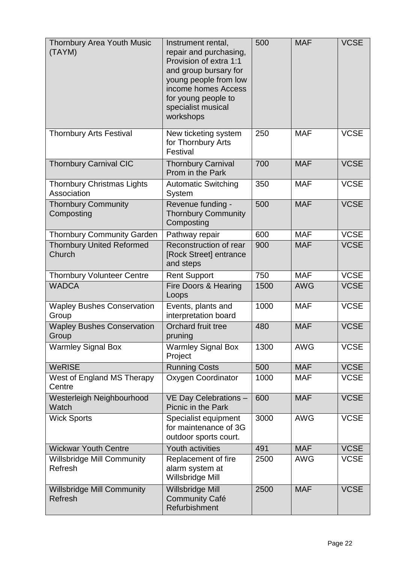| <b>Thornbury Area Youth Music</b><br>(TAYM)      | Instrument rental,<br>repair and purchasing,<br>Provision of extra 1:1<br>and group bursary for<br>young people from low<br>income homes Access<br>for young people to<br>specialist musical<br>workshops | 500  | <b>MAF</b> | <b>VCSE</b> |
|--------------------------------------------------|-----------------------------------------------------------------------------------------------------------------------------------------------------------------------------------------------------------|------|------------|-------------|
| <b>Thornbury Arts Festival</b>                   | New ticketing system<br>for Thornbury Arts<br>Festival                                                                                                                                                    | 250  | <b>MAF</b> | <b>VCSE</b> |
| <b>Thornbury Carnival CIC</b>                    | <b>Thornbury Carnival</b><br>Prom in the Park                                                                                                                                                             | 700  | <b>MAF</b> | <b>VCSE</b> |
| <b>Thornbury Christmas Lights</b><br>Association | <b>Automatic Switching</b><br><b>System</b>                                                                                                                                                               | 350  | <b>MAF</b> | <b>VCSE</b> |
| <b>Thornbury Community</b><br>Composting         | Revenue funding -<br><b>Thornbury Community</b><br>Composting                                                                                                                                             | 500  | <b>MAF</b> | <b>VCSE</b> |
| <b>Thornbury Community Garden</b>                | Pathway repair                                                                                                                                                                                            | 600  | <b>MAF</b> | <b>VCSE</b> |
| <b>Thornbury United Reformed</b><br>Church       | Reconstruction of rear<br>[Rock Street] entrance<br>and steps                                                                                                                                             | 900  | <b>MAF</b> | <b>VCSE</b> |
| <b>Thornbury Volunteer Centre</b>                | <b>Rent Support</b>                                                                                                                                                                                       | 750  | <b>MAF</b> | <b>VCSE</b> |
| <b>WADCA</b>                                     | Fire Doors & Hearing<br>Loops                                                                                                                                                                             | 1500 | <b>AWG</b> | <b>VCSE</b> |
| <b>Wapley Bushes Conservation</b><br>Group       | Events, plants and<br>interpretation board                                                                                                                                                                | 1000 | <b>MAF</b> | <b>VCSE</b> |
| <b>Wapley Bushes Conservation</b><br>Group       | Orchard fruit tree<br>pruning                                                                                                                                                                             | 480  | <b>MAF</b> | <b>VCSE</b> |
| <b>Warmley Signal Box</b>                        | <b>Warmley Signal Box</b><br>Project                                                                                                                                                                      | 1300 | <b>AWG</b> | <b>VCSE</b> |
| <b>WeRISE</b>                                    | <b>Running Costs</b>                                                                                                                                                                                      | 500  | <b>MAF</b> | <b>VCSE</b> |
| West of England MS Therapy<br>Centre             | Oxygen Coordinator                                                                                                                                                                                        | 1000 | <b>MAF</b> | <b>VCSE</b> |
| Westerleigh Neighbourhood<br>Watch               | VE Day Celebrations -<br>Picnic in the Park                                                                                                                                                               | 600  | <b>MAF</b> | <b>VCSE</b> |
| <b>Wick Sports</b>                               | Specialist equipment<br>for maintenance of 3G<br>outdoor sports court.                                                                                                                                    | 3000 | <b>AWG</b> | <b>VCSE</b> |
| <b>Wickwar Youth Centre</b>                      | Youth activities                                                                                                                                                                                          | 491  | <b>MAF</b> | <b>VCSE</b> |
| <b>Willsbridge Mill Community</b><br>Refresh     | Replacement of fire<br>alarm system at<br>Willsbridge Mill                                                                                                                                                | 2500 | <b>AWG</b> | <b>VCSE</b> |
| <b>Willsbridge Mill Community</b><br>Refresh     | Willsbridge Mill<br><b>Community Café</b><br>Refurbishment                                                                                                                                                | 2500 | <b>MAF</b> | <b>VCSE</b> |